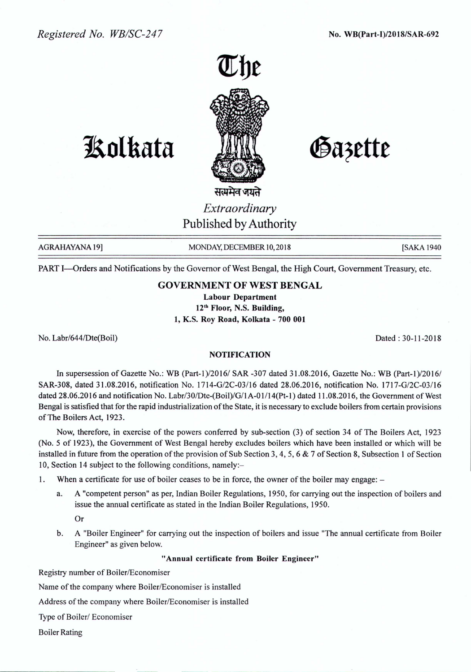*Registered No. WB/SC-247* No. WB(Part-I)/2018/SAR-692



# **1So1kata**

Gazette

संत्यमेव जयते *Extraordinary* Published by Authority

AGRAHAYANA 19] MONDAY, DECEMBER 10, 2018 [SAKA 1940] [SAKA 1940

PART I-Orders and Notifications by the Governor of West Bengal, the High Court, Government Treasury, etc.

### GOVERNMENT OF WEST BENGAL

Labour Department 12th Floor, N.S. Building, 1, K.S. Roy Road, Kolkata - 700 001

No. Labr/644IDte(Boil) Dated: 30-11-2018

#### NOTIFICATION

In supersession of Gazette No.: WB (Part-1)/2016/ SAR -307 dated 31.08.2016, Gazette No.: WB (Part-1)/2016/ SAR-308, dated 31.08.2016, notification No. 1714-G/2C-03/16 dated 28.06.2016, notification No. 1717-G/2C-03/16 dated 28.06.2016 and notification No. Labr/30/Dte-(Boil)/G/l A-O*1/14(Pt-l)* dated 11.08.2016, the Government of West Bengal is satisfied that for the rapid industrialization of the State, it is necessary to exclude boilers from certain provisions of The Boilers Act, 1923.

Now, therefore, in exercise of the powers conferred by sub-section (3) of section 34 of The Boilers Act, 1923 (No.5 of 1923), the Government of West Bengal hereby excludes boilers which have been installed or which will be installed in future from the operation of the provision of Sub Section 3, 4,5,6 & 7 of Section 8, Subsection 1 of Section 10, Section 14 subject to the following conditions, namely:-

1. When a certificate for use of boiler ceases to be in force, the owner of the boiler may engage:  $-$ 

a. A "competent person" as per, Indian Boiler Regulations, 1950, for carrying out the inspection of boilers and issue the annual certificate as stated in the Indian Boiler Regulations, 1950.

Or

b. A "Boiler Engineer" for carrying out the inspection of boilers and issue "The annual certificate from Boiler Engineer" as given below.

#### "Annual certificate from Boiler Engineer"

Registry number of Boiler/Economiser

Name of the company where Boiler/Economiser is installed

Address of the company where Boiler/Economiser is installed

Type of Boiler/ Economiser

Boiler Rating